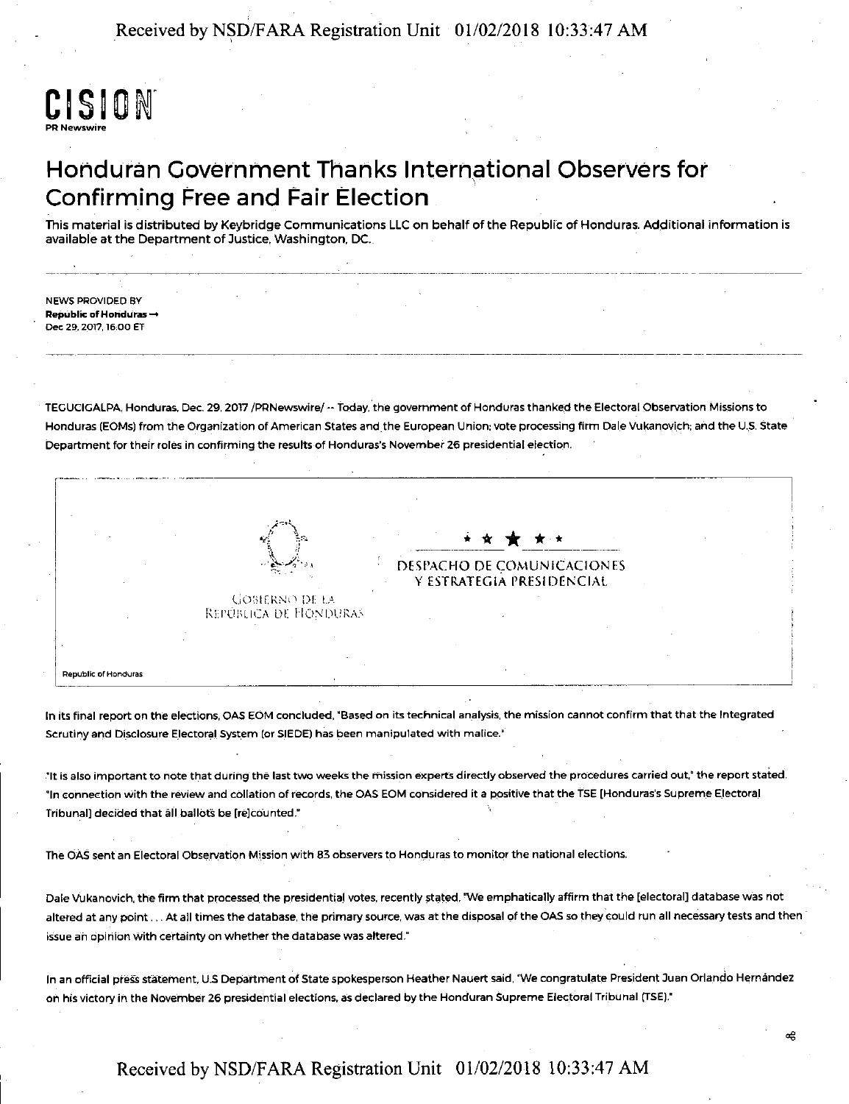Received by NSD/FARA Registration Unit 01/02/2018 10:33:47 AM

# CISION PR Newswire

# Honduran Government Thanks International Observers for Confirming Free and Fair Election

This material is distributed by Keybridge Communications LLC on behalf of the Republic of Honduras. Additional information is available at the Department of Justice, Washington, DC.

--------------------------------·---··-···---·---~---~-------,---- -----------~----------

NEWS PROVIDED BY Republic of Horiduras  $\rightarrow$ Dec 29, 2017, 16,00 ET

TEGUCIGALPA, Honduras. Dec. 29, 2017 /PRNewswire/ -- today, the government of Honduras thanked the Electoral Observation Missions to Honduras (EOMs) from the Organization of American States and the European Union: vote processing firm Dale Vukanovich; and the U.S. State Department for their roles in confirming the results of Honduras's November 26 presidential election.

Republic of Honduras GOBIERNO DE LA REPÚBLICA DE HONDURAS ------ \* \* \* ------- \* \* OESl'ACHO DE COMUNICACIONES V ESTRATEGIA PRESIDENCIAL

In its final report on the elections, OAS EOM concluded, "Based on its technical analysis, the mission cannot confirm that that the Integrated Scrutiny and Disclosure Electoral System (or SIEDE) has been manipulated with malice.'

."It is also important to note that during the last two weeks the mission experts directly observed the procedures carried out,• the report staied. "In connection with the review and collation of records, the OAS EOM considered it a positive that the TSE [Honduras's Supreme Electoral Tribunal] decided that all ballots be [re]counted."

The OAS sent an Electoral Observation Mission with 83 observers to Honduras to monitor the national elections.

Dale Vukanovich, the firm that processed the presidential votes, recently stated. "We emphatically affirm that the [electoral] database was not altered at any point . . . At all times the database, the primary source, was at the disposal of the OAS so they could run all necessary tests and then issue an opiriion with certainty on whether the database was altered."

In an official press statement. U.S Department of State spokesperson Heather Nauert said, "We congratulate President Juan Orlando Hernández on his victory in the November 26 presidential elections, as declared by the Honduran Supreme Electoral Tribunal (TSE)."

### Received by NSD/FARA Registration Unit 01/02/2018 10:33:47 AM